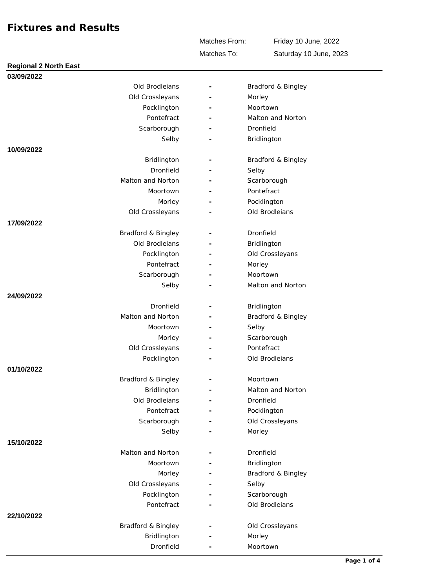Matches To: Matches From: Friday 10 June, 2022 Saturday 10 June, 2023

| <b>Regional 2 North East</b> |   |                    |
|------------------------------|---|--------------------|
| 03/09/2022                   |   |                    |
| Old Brodleians               |   | Bradford & Bingley |
| Old Crossleyans              |   | Morley             |
| Pocklington                  |   | Moortown           |
| Pontefract                   |   | Malton and Norton  |
| Scarborough                  |   | Dronfield          |
| Selby                        |   | Bridlington        |
| 10/09/2022                   |   |                    |
| Bridlington                  |   | Bradford & Bingley |
| Dronfield                    |   | Selby              |
| Malton and Norton            |   | Scarborough        |
| Moortown                     |   | Pontefract         |
| Morley                       |   | Pocklington        |
| Old Crossleyans              |   | Old Brodleians     |
| 17/09/2022                   |   |                    |
| Bradford & Bingley           |   | Dronfield          |
| Old Brodleians               |   | Bridlington        |
| Pocklington                  |   | Old Crossleyans    |
| Pontefract                   |   | Morley             |
| Scarborough                  |   | Moortown           |
| Selby                        |   | Malton and Norton  |
| 24/09/2022                   |   |                    |
| Dronfield                    |   | Bridlington        |
| Malton and Norton            |   | Bradford & Bingley |
| Moortown                     | ۰ | Selby              |
| Morley                       |   | Scarborough        |
| Old Crossleyans              |   | Pontefract         |
| Pocklington                  |   | Old Brodleians     |
| 01/10/2022                   |   |                    |
| Bradford & Bingley           |   | Moortown           |
| Bridlington                  |   | Malton and Norton  |
| Old Brodleians               |   | Dronfield          |
| Pontefract                   | ۰ | Pocklington        |
| Scarborough                  |   | Old Crossleyans    |
| Selby                        |   | Morley             |
| 15/10/2022                   |   |                    |
| Malton and Norton            |   | Dronfield          |
| Moortown                     |   | Bridlington        |
| Morley                       |   | Bradford & Bingley |
| Old Crossleyans              |   | Selby              |
| Pocklington                  |   | Scarborough        |
| Pontefract                   |   | Old Brodleians     |
| 22/10/2022                   |   |                    |
| Bradford & Bingley           |   | Old Crossleyans    |
| Bridlington                  |   | Morley             |
| Dronfield                    |   | Moortown           |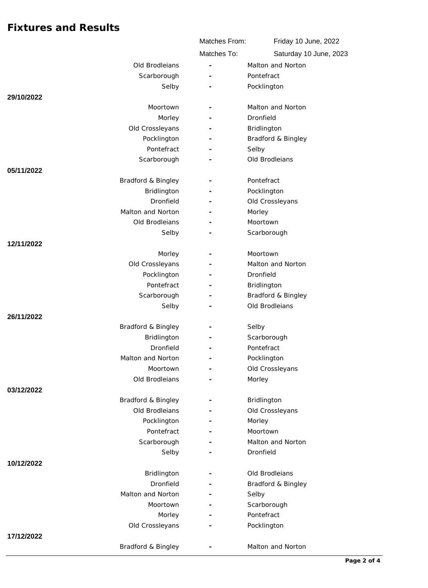|                                   | Matches From:  | Friday 10 June, 2022   |
|-----------------------------------|----------------|------------------------|
|                                   | Matches To:    | Saturday 10 June, 2023 |
| Old Brodleians                    | $\overline{a}$ | Malton and Norton      |
| Scarborough                       |                | Pontefract             |
| Selby                             |                | Pocklington            |
| 29/10/2022                        |                |                        |
| Moortown                          |                | Malton and Norton      |
| Morley                            |                | Dronfield              |
| Old Crossleyans                   |                | Bridlington            |
| Pocklington                       |                | Bradford & Bingley     |
| Pontefract                        |                | Selby                  |
| Scarborough                       |                | Old Brodleians         |
| 05/11/2022                        |                |                        |
| Bradford & Bingley                |                | Pontefract             |
| Bridlington                       |                | Pocklington            |
| Dronfield                         |                | Old Crossleyans        |
| Malton and Norton                 |                | Morley                 |
| Old Brodleians                    |                | Moortown               |
| Selby                             |                | Scarborough            |
| 12/11/2022                        |                |                        |
| Morley                            |                | Moortown               |
| Old Crossleyans                   |                | Malton and Norton      |
| Pocklington                       |                | Dronfield              |
| Pontefract                        |                | Bridlington            |
| Scarborough                       |                | Bradford & Bingley     |
| Selby                             |                | Old Brodleians         |
| 26/11/2022                        |                |                        |
| Bradford & Bingley<br>Bridlington |                | Selby<br>Scarborough   |
| Dronfield                         |                | Pontefract             |
| Malton and Norton                 |                | Pocklington            |
| Moortown                          |                | Old Crossleyans        |
| Old Brodleians                    |                | Morley                 |
| 03/12/2022                        |                |                        |
| Bradford & Bingley                |                | Bridlington            |
| Old Brodleians                    |                | Old Crossleyans        |
| Pocklington                       |                | Morley                 |
| Pontefract                        |                | Moortown               |
| Scarborough                       |                | Malton and Norton      |
| Selby                             |                | Dronfield              |
| 10/12/2022                        |                |                        |
| Bridlington                       |                | Old Brodleians         |
| Dronfield                         |                | Bradford & Bingley     |
| Malton and Norton                 |                | Selby                  |
| Moortown                          |                | Scarborough            |
| Morley                            |                | Pontefract             |
| Old Crossleyans                   |                | Pocklington            |
| 17/12/2022                        |                |                        |
| Bradford & Bingley                |                | Malton and Norton      |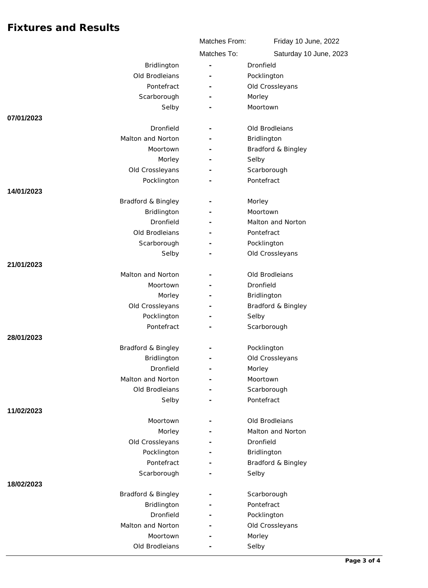|                                  | Matches From:                                            | Friday 10 June, 2022           |
|----------------------------------|----------------------------------------------------------|--------------------------------|
|                                  | Matches To:                                              | Saturday 10 June, 2023         |
| Bridlington                      | $\overline{\phantom{m}}$                                 | Dronfield                      |
| Old Brodleians                   |                                                          | Pocklington                    |
| Pontefract                       | $\overline{\phantom{0}}$                                 | Old Crossleyans                |
| Scarborough                      | $\overline{\phantom{a}}$                                 | Morley                         |
| Selby                            |                                                          | Moortown                       |
| 07/01/2023                       |                                                          |                                |
| Dronfield                        |                                                          | Old Brodleians                 |
| Malton and Norton                |                                                          | Bridlington                    |
| Moortown                         |                                                          | Bradford & Bingley             |
| Morley                           |                                                          | Selby                          |
| Old Crossleyans                  |                                                          | Scarborough                    |
| Pocklington                      |                                                          | Pontefract                     |
| 14/01/2023                       |                                                          |                                |
| Bradford & Bingley               |                                                          | Morley                         |
| Bridlington                      |                                                          | Moortown                       |
| Dronfield                        |                                                          | Malton and Norton              |
| Old Brodleians                   |                                                          | Pontefract                     |
| Scarborough                      |                                                          | Pocklington                    |
| Selby                            |                                                          | Old Crossleyans                |
| 21/01/2023                       |                                                          |                                |
| Malton and Norton                |                                                          | Old Brodleians                 |
| Moortown                         |                                                          | Dronfield                      |
| Morley                           |                                                          | Bridlington                    |
| Old Crossleyans                  |                                                          | Bradford & Bingley             |
| Pocklington                      |                                                          | Selby                          |
| Pontefract                       |                                                          | Scarborough                    |
| 28/01/2023<br>Bradford & Bingley |                                                          |                                |
| Bridlington                      |                                                          | Pocklington<br>Old Crossleyans |
| Dronfield                        | $\qquad \qquad \blacksquare$<br>$\overline{\phantom{a}}$ | Morley                         |
| Malton and Norton                |                                                          | Moortown                       |
| Old Brodleians                   |                                                          | Scarborough                    |
| Selby                            |                                                          | Pontefract                     |
| 11/02/2023                       |                                                          |                                |
| Moortown                         |                                                          | Old Brodleians                 |
| Morley                           |                                                          | Malton and Norton              |
| Old Crossleyans                  |                                                          | Dronfield                      |
| Pocklington                      |                                                          | Bridlington                    |
| Pontefract                       |                                                          | Bradford & Bingley             |
| Scarborough                      |                                                          | Selby                          |
| 18/02/2023                       |                                                          |                                |
| Bradford & Bingley               | $\overline{\phantom{a}}$                                 | Scarborough                    |
| Bridlington                      |                                                          | Pontefract                     |
| Dronfield                        |                                                          | Pocklington                    |
| Malton and Norton                |                                                          | Old Crossleyans                |
| Moortown                         |                                                          | Morley                         |
| Old Brodleians                   |                                                          | Selby                          |